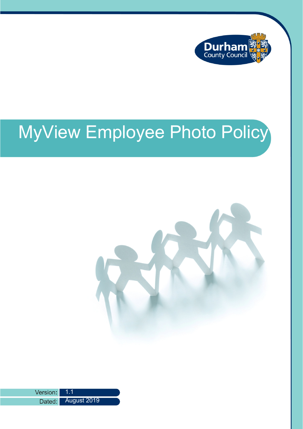

# MyView Employee Photo Policy



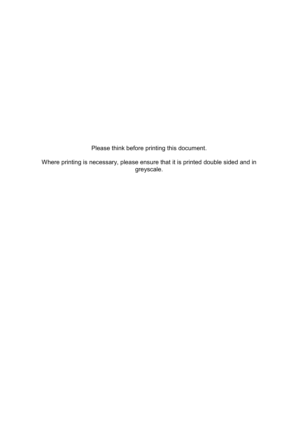Please think before printing this document.

Where printing is necessary, please ensure that it is printed double sided and in greyscale.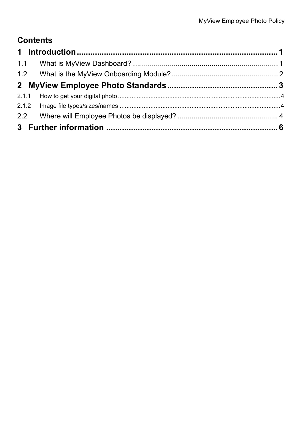# **Contents**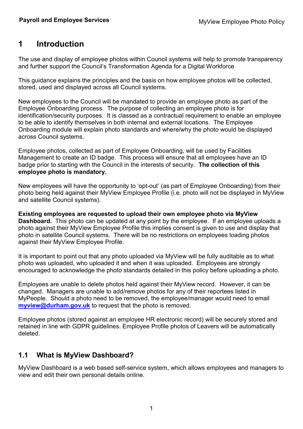## <span id="page-3-0"></span>1 Introduction

The use and display of employee photos within Council systems will help to promote transparency and further support the Council's Transformation Agenda for a Digital Workforce

This guidance explains the principles and the basis on how employee photos will be collected, stored, used and displayed across all Council systems.

New employees to the Council will be mandated to provide an employee photo as part of the Employee Onboarding process. The purpose of collecting an employee photo is for identification/security purposes. It is classed as a contractual requirement to enable an employee to be able to identify themselves in both internal and external locations. The Employee Onboarding module will explain photo standards and where/why the photo would be displayed across Council systems.

Employee photos, collected as part of Employee Onboarding, will be used by Facilities Management to create an ID badge. This process will ensure that all employees have an ID badge prior to starting with the Council in the interests of security. The collection of this employee photo is mandatory.

New employees will have the opportunity to 'opt-out' (as part of Employee Onboarding) from their photo being held against their MyView Employee Profile (i.e. photo will not be displayed in MyView and satellite Council systems).

Existing employees are requested to upload their own employee photo via MyView **Dashboard.** This photo can be updated at any point by the employee. If an employee uploads a photo against their MyView Employee Profile this implies consent is given to use and display that photo in satellite Council systems. There will be no restrictions on employees loading photos against their MyView Employee Profile.

It is important to point out that any photo uploaded via MyView will be fully auditable as to what photo was uploaded, who uploaded it and when it was uploaded. Employees are strongly encouraged to acknowledge the photo standards detailed in this policy before uploading a photo.

Employees are unable to delete photos held against their MyView record. However, it can be changed. Managers are unable to add/remove photos for any of their reportees listed in MyPeople. Should a photo need to be removed, the employee/manager would need to email [myview@durham.gov.uk](mailto:myview@durham.gov.uk) to request that the photo is removed.

Employee photos (stored against an employee HR electronic record) will be securely stored and retained in line with GDPR guidelines. Employee Profile photos of Leavers will be automatically deleted.

## <span id="page-3-1"></span>1.1 What is MyView Dashboard?

MyView Dashboard is a web based self-service system, which allows employees and managers to view and edit their own personal details online.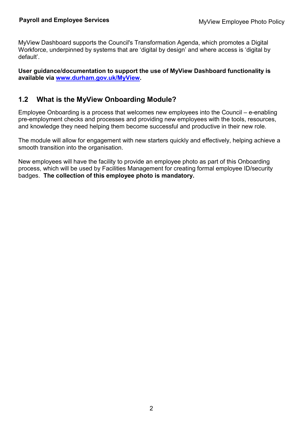MyView Dashboard supports the Council's Transformation Agenda, which promotes a Digital Workforce, underpinned by systems that are 'digital by design' and where access is 'digital by default'.

User guidance/documentation to support the use of MyView Dashboard functionality is available via [www.durham.gov.uk/MyView.](http://www.durham.gov.uk/MyView)

## <span id="page-4-0"></span>1.2 What is the MyView Onboarding Module?

Employee Onboarding is a process that welcomes new employees into the Council – e-enabling pre-employment checks and processes and providing new employees with the tools, resources, and knowledge they need helping them become successful and productive in their new role.

The module will allow for engagement with new starters quickly and effectively, helping achieve a smooth transition into the organisation.

New employees will have the facility to provide an employee photo as part of this Onboarding process, which will be used by Facilities Management for creating formal employee ID/security badges. The collection of this employee photo is mandatory.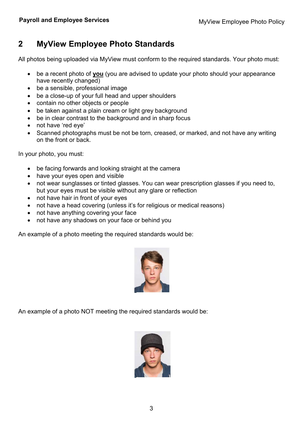# <span id="page-5-0"></span>2 MyView Employee Photo Standards

All photos being uploaded via MyView must conform to the required standards. Your photo must:

- be a recent photo of you (you are advised to update your photo should your appearance have recently changed)
- be a sensible, professional image
- be a close-up of your full head and upper shoulders
- contain no other objects or people
- be taken against a plain cream or light grey background
- be in clear contrast to the background and in sharp focus
- not have 'red eye'
- Scanned photographs must be not be torn, creased, or marked, and not have any writing on the front or back.

In your photo, you must:

- be facing forwards and looking straight at the camera
- have your eyes open and visible
- not wear sunglasses or tinted glasses. You can wear prescription glasses if you need to, but your eyes must be visible without any glare or reflection
- not have hair in front of your eyes
- not have a head covering (unless it's for religious or medical reasons)
- not have anything covering your face
- not have any shadows on your face or behind you

An example of a photo meeting the required standards would be:



An example of a photo NOT meeting the required standards would be:

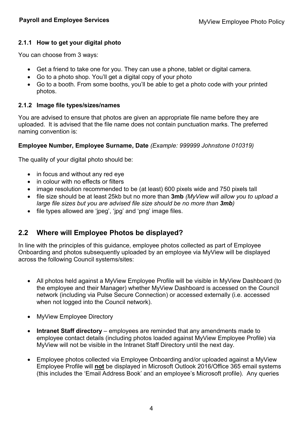#### <span id="page-6-0"></span>2.1.1 How to get your digital photo

You can choose from 3 ways:

- Get a friend to take one for you. They can use a phone, tablet or digital camera.
- Go to a photo shop. You'll get a digital copy of your photo
- Go to a booth. From some booths, you'll be able to get a photo code with your printed photos.

#### <span id="page-6-1"></span>2.1.2 Image file types/sizes/names

You are advised to ensure that photos are given an appropriate file name before they are uploaded. It is advised that the file name does not contain punctuation marks. The preferred naming convention is:

#### Employee Number, Employee Surname, Date (Example: 999999 Johnstone 010319)

The quality of your digital photo should be:

- in focus and without any red eye
- in colour with no effects or filters
- image resolution recommended to be (at least) 600 pixels wide and 750 pixels tall
- file size should be at least 25kb but no more than 3mb (MyView will allow you to upload a large file sizes but you are advised file size should be no more than 3mb)
- file types allowed are 'ipeg', 'ipg' and 'png' image files.

## <span id="page-6-2"></span>2.2 Where will Employee Photos be displayed?

In line with the principles of this guidance, employee photos collected as part of Employee Onboarding and photos subsequently uploaded by an employee via MyView will be displayed across the following Council systems/sites:

- All photos held against a MyView Employee Profile will be visible in MyView Dashboard (to the employee and their Manager) whether MyView Dashboard is accessed on the Council network (including via Pulse Secure Connection) or accessed externally (i.e. accessed when not logged into the Council network).
- MyView Employee Directory
- **Intranet Staff directory** employees are reminded that any amendments made to employee contact details (including photos loaded against MyView Employee Profile) via MyView will not be visible in the Intranet Staff Directory until the next day.
- Employee photos collected via Employee Onboarding and/or uploaded against a MyView Employee Profile will not be displayed in Microsoft Outlook 2016/Office 365 email systems (this includes the 'Email Address Book' and an employee's Microsoft profile). Any queries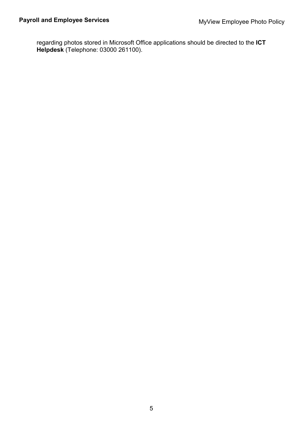regarding photos stored in Microsoft Office applications should be directed to the ICT Helpdesk (Telephone: 03000 261100).